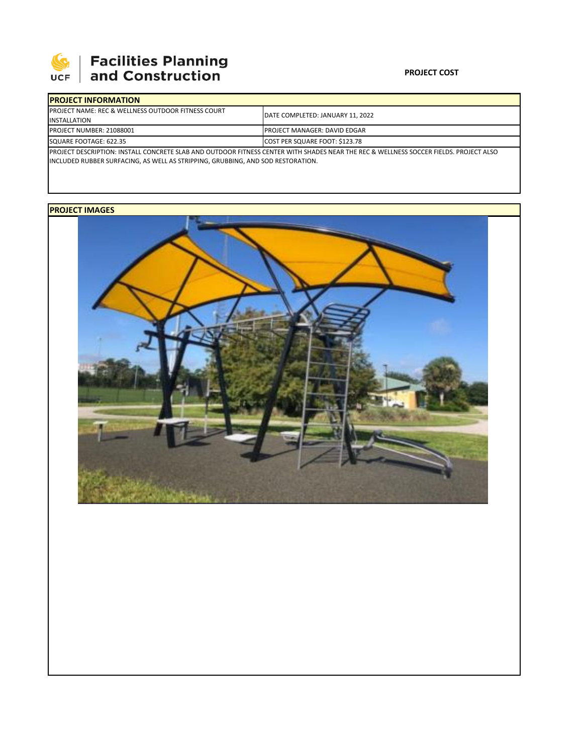

| <b>IPROJECT INFORMATION</b>                                                                                                                       |                                      |  |  |  |
|---------------------------------------------------------------------------------------------------------------------------------------------------|--------------------------------------|--|--|--|
| <b>IPROJECT NAME: REC &amp; WELLNESS OUTDOOR FITNESS COURT</b>                                                                                    | DATE COMPLETED: JANUARY 11, 2022     |  |  |  |
| INSTALLATION<br><b>PROJECT NUMBER: 21088001</b>                                                                                                   | <b>IPROJECT MANAGER: DAVID EDGAR</b> |  |  |  |
| SQUARE FOOTAGE: 622.35                                                                                                                            | COST PER SQUARE FOOT: \$123.78       |  |  |  |
| <b>IPROJECT DESCRIPTION: INSTALL CONCRETE SLAB AND OUTDOOR FITNESS CENTER WITH SHADES NEAR THE REC &amp; WELLNESS SOCCER FIELDS. PROJECT ALSO</b> |                                      |  |  |  |
| INCLUDED RUBBER SURFACING, AS WELL AS STRIPPING, GRUBBING, AND SOD RESTORATION.                                                                   |                                      |  |  |  |

## **PROJECT IMAGES**